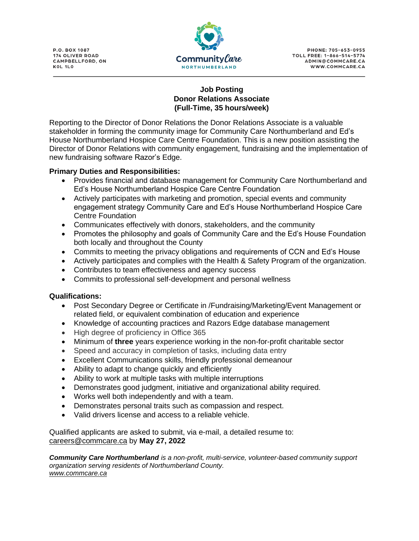**P.O. BOX 1087** 174 OLIVER ROAD **CAMPBELLFORD, ON** KOL 1LO



**PHONE: 705-653-0955** TOLL FREE: 1-866-514-5774 ADMIN@COMMCARE.CA WWW.COMMCARE.CA

## **Job Posting Donor Relations Associate (Full-Time, 35 hours/week)**

Reporting to the Director of Donor Relations the Donor Relations Associate is a valuable stakeholder in forming the community image for Community Care Northumberland and Ed's House Northumberland Hospice Care Centre Foundation. This is a new position assisting the Director of Donor Relations with community engagement, fundraising and the implementation of new fundraising software Razor's Edge.

## **Primary Duties and Responsibilities:**

- Provides financial and database management for Community Care Northumberland and Ed's House Northumberland Hospice Care Centre Foundation
- Actively participates with marketing and promotion, special events and community engagement strategy Community Care and Ed's House Northumberland Hospice Care Centre Foundation
- Communicates effectively with donors, stakeholders, and the community
- Promotes the philosophy and goals of Community Care and the Ed's House Foundation both locally and throughout the County
- Commits to meeting the privacy obligations and requirements of CCN and Ed's House
- Actively participates and complies with the Health & Safety Program of the organization.
- Contributes to team effectiveness and agency success
- Commits to professional self-development and personal wellness

## **Qualifications:**

- Post Secondary Degree or Certificate in /Fundraising/Marketing/Event Management or related field, or equivalent combination of education and experience
- Knowledge of accounting practices and Razors Edge database management
- High degree of proficiency in Office 365
- Minimum of **three** years experience working in the non-for-profit charitable sector
- Speed and accuracy in completion of tasks, including data entry
- Excellent Communications skills, friendly professional demeanour
- Ability to adapt to change quickly and efficiently
- Ability to work at multiple tasks with multiple interruptions
- Demonstrates good judgment, initiative and organizational ability required.
- Works well both independently and with a team.
- Demonstrates personal traits such as compassion and respect.
- Valid drivers license and access to a reliable vehicle.

Qualified applicants are asked to submit, via e-mail, a detailed resume to: [careers@commcare.ca](mailto:careers@commcare.ca) by **May 27, 2022**

*Community Care Northumberland is a non-profit, multi-service, volunteer-based community support organization serving residents of Northumberland County. [www.commcare.ca](http://www.commcare.ca/)*